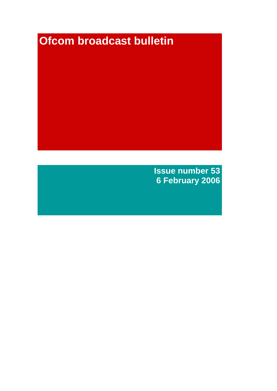# **Ofcom broadcast bulletin**

**Issue number 53 6 February 2006**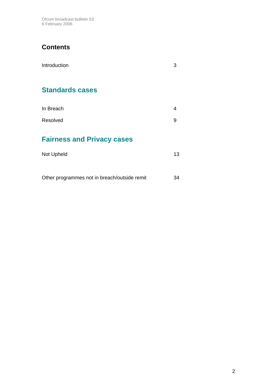Ofcom broadcast bulletin 53 6 February 2006

# **Contents**

| Introduction                      | 3  |
|-----------------------------------|----|
| <b>Standards cases</b>            |    |
| In Breach                         | 4  |
| Resolved                          | 9  |
| <b>Fairness and Privacy cases</b> |    |
| Not Upheld                        | 13 |
|                                   |    |

Other programmes not in breach/outside remit 34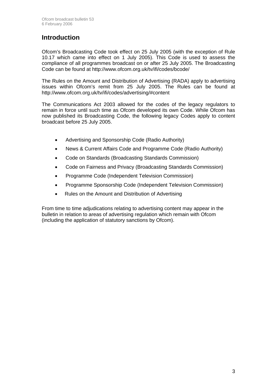### **Introduction**

Ofcom's Broadcasting Code took effect on 25 July 2005 (with the exception of Rule 10.17 which came into effect on 1 July 2005). This Code is used to assess the compliance of all programmes broadcast on or after 25 July 2005. The Broadcasting Code can be found at http://www.ofcom.org.uk/tv/ifi/codes/bcode/

The Rules on the Amount and Distribution of Advertising (RADA) apply to advertising issues within Ofcom's remit from 25 July 2005. The Rules can be found at http://www.ofcom.org.uk/tv/ifi/codes/advertising/#content

The Communications Act 2003 allowed for the codes of the legacy regulators to remain in force until such time as Ofcom developed its own Code. While Ofcom has now published its Broadcasting Code, the following legacy Codes apply to content broadcast before 25 July 2005.

- Advertising and Sponsorship Code (Radio Authority)
- News & Current Affairs Code and Programme Code (Radio Authority)
- Code on Standards (Broadcasting Standards Commission)
- Code on Fairness and Privacy (Broadcasting Standards Commission)
- Programme Code (Independent Television Commission)
- Programme Sponsorship Code (Independent Television Commission)
- Rules on the Amount and Distribution of Advertising

From time to time adjudications relating to advertising content may appear in the bulletin in relation to areas of advertising regulation which remain with Ofcom (including the application of statutory sanctions by Ofcom).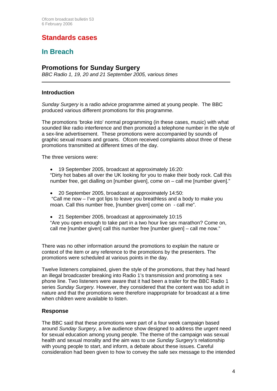# **Standards cases**

## **In Breach**

### **Promotions for Sunday Surgery**

*BBC Radio 1, 19, 20 and 21 September 2005, various times* 

#### **Introduction**

*Sunday Surgery* is a radio advice programme aimed at young people. The BBC produced various different promotions for this programme.

The promotions 'broke into' normal programming (in these cases, music) with what sounded like radio interference and then promoted a telephone number in the style of a sex-line advertisement. These promotions were accompanied by sounds of graphic sexual moans and groans. Ofcom received complaints about three of these promotions transmitted at different times of the day.

The three versions were:

• 19 September 2005, broadcast at approximately 16:20: "Dirty hot babes all over the UK looking for you to make their body rock. Call this number free, get dialling on [number given], come on – call me [number given]."

• 20 September 2005, broadcast at approximately 14:50: "Call me now – I've got lips to leave you breathless and a body to make you moan. Call this number free, [number given] come on - call me".

• 21 September 2005, broadcast at approximately 10:15 "Are you open enough to take part in a two hour live sex marathon? Come on, call me [number given] call this number free [number given] – call me now."

There was no other information around the promotions to explain the nature or context of the item or any reference to the promotions by the presenters. The promotions were scheduled at various points in the day.

Twelve listeners complained, given the style of the promotions, that they had heard an illegal broadcaster breaking into Radio 1's transmission and promoting a sex phone line. Two listeners were aware that it had been a trailer for the BBC Radio 1 series *Sunday Surgery.* However, they considered that the content was too adult in nature and that the promotions were therefore inappropriate for broadcast at a time when children were available to listen.

#### **Response**

The BBC said that these promotions were part of a four week campaign based around *Sunday Surgery*, a live audience show designed to address the urgent need for sexual education among young people. The theme of the campaign was sexual health and sexual morality and the aim was to use *Sunday Surgery's* relationship with young people to start, and inform, a debate about these issues. Careful consideration had been given to how to convey the safe sex message to the intended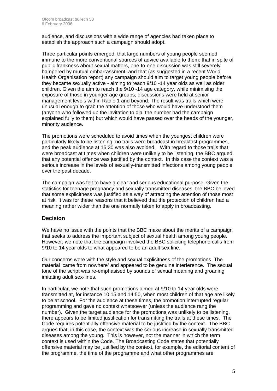audience, and discussions with a wide range of agencies had taken place to establish the approach such a campaign should adopt.

Three particular points emerged: that large numbers of young people seemed immune to the more conventional sources of advice available to them: that in spite of public frankness about sexual matters, one-to-one discussion was still severely hampered by mutual embarrassment; and that (as suggested in a recent World Health Organisation report) any campaign should aim to target young people before they became sexually active - aiming to reach 9/10 -14 year olds as well as older children. Given the aim to reach the 9/10 -14 age category, while minimising the exposure of those in younger age groups, discussions were held at senior management levels within Radio 1 and beyond. The result was trails which were unusual enough to grab the attention of those who would have understood them (anyone who followed up the invitation to dial the number had the campaign explained fully to them) but which would have passed over the heads of the younger, minority audience.

The promotions were scheduled to avoid times when the youngest children were particularly likely to be listening: no trails were broadcast in breakfast programmes, and the peak audience at 15:30 was also avoided. With regard to those trails that were broadcast at times when children were unlikely to be listening, the BBC argued that any potential offence was justified by the context. In this case the context was a serious increase in the levels of sexually-transmitted infections among young people over the past decade.

The campaign was felt to have a clear and serious educational purpose. Given the statistics for teenage pregnancy and sexually transmitted diseases, the BBC believed that some explicitness was justified as a way of attracting the attention of those most at risk. It was for these reasons that it believed that the protection of children had a meaning rather wider than the one normally taken to apply in broadcasting.

#### **Decision**

We have no issue with the points that the BBC make about the merits of a campaign that seeks to address the important subject of sexual health among young people. However, we note that the campaign involved the BBC soliciting telephone calls from 9/10 to 14 year olds to what appeared to be an adult sex line.

Our concerns were with the style and sexual explicitness of the promotions. The material 'came from nowhere' and appeared to be genuine interference. The sexual tone of the script was re-emphasised by sounds of sexual moaning and groaning imitating adult sex-lines.

In particular, we note that such promotions aimed at 9/10 to 14 year olds were transmitted at, for instance 10:15 and 14:50, when most children of that age are likely to be at school. For the audience at these times, the promotion interrupted regular programming and gave no context whatsoever (unless the audience rang the number). Given the target audience for the promotions was unlikely to be listening, there appears to be limited justification for transmitting the trails at these times. The Code requires potentially offensive material to be justified by the context. The BBC argues that, in this case, the context was the serious increase in sexually transmitted diseases among the young. This is however, not the manner in which the term context is used within the Code. The Broadcasting Code states that potentially offensive material may be justified by the context, for example, the editorial content of the programme, the time of the programme and what other programmes are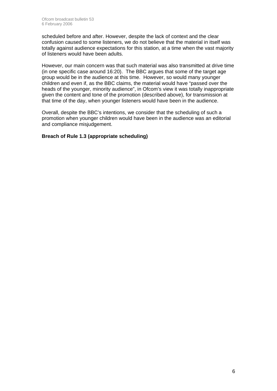scheduled before and after. However, despite the lack of context and the clear confusion caused to some listeners, we do not believe that the material in itself was totally against audience expectations for this station, at a time when the vast majority of listeners would have been adults.

However, our main concern was that such material was also transmitted at drive time (in one specific case around 16:20). The BBC argues that some of the target age group would be in the audience at this time. However, so would many younger children and even if, as the BBC claims, the material would have "passed over the heads of the younger, minority audience", in Ofcom's view it was totally inappropriate given the content and tone of the promotion (described above), for transmission at that time of the day, when younger listeners would have been in the audience.

Overall, despite the BBC's intentions, we consider that the scheduling of such a promotion when younger children would have been in the audience was an editorial and compliance misjudgement.

#### **Breach of Rule 1.3 (appropriate scheduling)**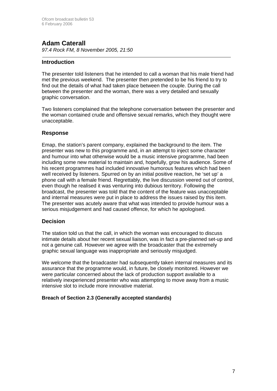### **Adam Caterall**

*97.4 Rock FM, 8 November 2005, 21:50* 

#### **Introduction**

The presenter told listeners that he intended to call a woman that his male friend had met the previous weekend. The presenter then pretended to be his friend to try to find out the details of what had taken place between the couple. During the call between the presenter and the woman, there was a very detailed and sexually graphic conversation.

Two listeners complained that the telephone conversation between the presenter and the woman contained crude and offensive sexual remarks, which they thought were unacceptable.

#### **Response**

Emap, the station's parent company, explained the background to the item. The presenter was new to this programme and, in an attempt to inject some character and humour into what otherwise would be a music intensive programme, had been including some new material to maintain and, hopefully, grow his audience. Some of his recent programmes had included innovative humorous features which had been well received by listeners. Spurred on by an initial positive reaction, he 'set up' a phone call with a female friend. Regrettably, the live discussion veered out of control, even though he realised it was venturing into dubious territory. Following the broadcast, the presenter was told that the content of the feature was unacceptable and internal measures were put in place to address the issues raised by this item. The presenter was acutely aware that what was intended to provide humour was a serious misjudgement and had caused offence, for which he apologised.

#### **Decision**

The station told us that the call, in which the woman was encouraged to discuss intimate details about her recent sexual liaison, was in fact a pre-planned set-up and not a genuine call. However we agree with the broadcaster that the extremely graphic sexual language was inappropriate and seriously misjudged.

We welcome that the broadcaster had subsequently taken internal measures and its assurance that the programme would, in future, be closely monitored. However we were particular concerned about the lack of production support available to a relatively inexperienced presenter who was attempting to move away from a music intensive slot to include more innovative material.

#### **Breach of Section 2.3 (Generally accepted standards)**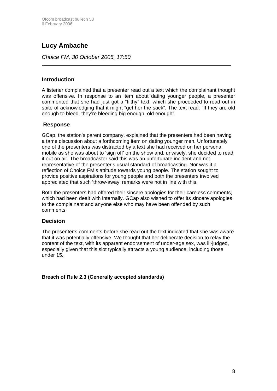# **Lucy Ambache**

*Choice FM, 30 October 2005, 17:50*

#### **Introduction**

A listener complained that a presenter read out a text which the complainant thought was offensive. In response to an item about dating younger people, a presenter commented that she had just got a "filthy" text, which she proceeded to read out in spite of acknowledging that it might "get her the sack". The text read: "If they are old enough to bleed, they're bleeding big enough, old enough".

#### **Response**

GCap, the station's parent company, explained that the presenters had been having a tame discussion about a forthcoming item on dating younger men. Unfortunately one of the presenters was distracted by a text she had received on her personal mobile as she was about to 'sign off' on the show and, unwisely, she decided to read it out on air. The broadcaster said this was an unfortunate incident and not representative of the presenter's usual standard of broadcasting. Nor was it a reflection of Choice FM's attitude towards young people. The station sought to provide positive aspirations for young people and both the presenters involved appreciated that such 'throw-away' remarks were not in line with this.

Both the presenters had offered their sincere apologies for their careless comments, which had been dealt with internally. GCap also wished to offer its sincere apologies to the complainant and anyone else who may have been offended by such comments.

#### **Decision**

The presenter's comments before she read out the text indicated that she was aware that it was potentially offensive. We thought that her deliberate decision to relay the content of the text, with its apparent endorsement of under-age sex, was ill-judged, especially given that this slot typically attracts a young audience, including those under 15.

**Breach of Rule 2.3 (Generally accepted standards)**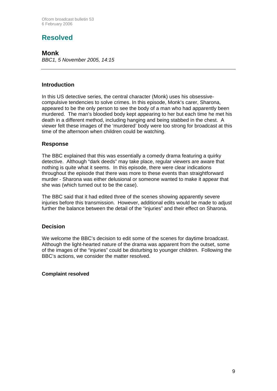# **Resolved**

### **Monk**

*BBC1, 5 November 2005, 14:15*

#### **Introduction**

In this US detective series, the central character (Monk) uses his obsessivecompulsive tendencies to solve crimes. In this episode, Monk's carer, Sharona, appeared to be the only person to see the body of a man who had apparently been murdered. The man's bloodied body kept appearing to her but each time he met his death in a different method, including hanging and being stabbed in the chest. A viewer felt these images of the 'murdered' body were too strong for broadcast at this time of the afternoon when children could be watching.

#### **Response**

The BBC explained that this was essentially a comedy drama featuring a quirky detective. Although "dark deeds" may take place, regular viewers are aware that nothing is quite what it seems. In this episode, there were clear indications throughout the episode that there was more to these events than straightforward murder - Sharona was either delusional or someone wanted to make it appear that she was (which turned out to be the case).

The BBC said that it had edited three of the scenes showing apparently severe injuries before this transmission. However, additional edits would be made to adjust further the balance between the detail of the "injuries" and their effect on Sharona.

#### **Decision**

We welcome the BBC's decision to edit some of the scenes for daytime broadcast. Although the light-hearted nature of the drama was apparent from the outset, some of the images of the "injuries" could be disturbing to younger children. Following the BBC's actions, we consider the matter resolved.

#### **Complaint resolved**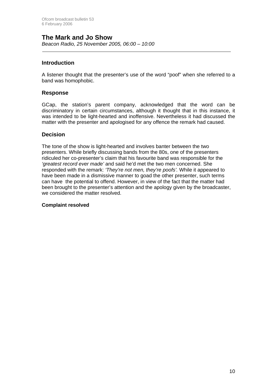### **The Mark and Jo Show**

*Beacon Radio, 25 November 2005, 06:00 – 10:00* 

#### **Introduction**

A listener thought that the presenter's use of the word "poof" when she referred to a band was homophobic.

#### **Response**

GCap, the station's parent company, acknowledged that the word can be discriminatory in certain circumstances, although it thought that in this instance, it was intended to be light-hearted and inoffensive. Nevertheless it had discussed the matter with the presenter and apologised for any offence the remark had caused.

#### **Decision**

The tone of the show is light-hearted and involves banter between the two presenters. While briefly discussing bands from the 80s, one of the presenters ridiculed her co-presenter's claim that his favourite band was responsible for the *'greatest record ever made'* and said he'd met the two men concerned. She responded with the remark: *'They're not men, they're poofs'.* While it appeared to have been made in a dismissive manner to goad the other presenter, such terms can have the potential to offend. However, in view of the fact that the matter had been brought to the presenter's attention and the apology given by the broadcaster, we considered the matter resolved.

#### **Complaint resolved**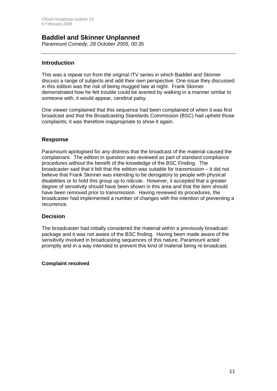# **Baddiel and Skinner Unplanned**

*Paramount Comedy, 28 October 2005, 00:35*

#### **Introduction**

This was a repeat run from the original ITV series in which Baddiel and Skinner discuss a range of subjects and add their own perspective. One issue they discussed in this edition was the risk of being mugged late at night. Frank Skinner demonstrated how he felt trouble could be averted by walking in a manner similar to someone with, it would appear, cerebral palsy.

One viewer complained that this sequence had been complained of when it was first broadcast and that the Broadcasting Standards Commission (BSC) had upheld those complaints; it was therefore inappropriate to show it again.

#### **Response**

Paramount apologised for any distress that the broadcast of the material caused the complainant. The edition in question was reviewed as part of standard compliance procedures without the benefit of the knowledge of the BSC Finding. The broadcaster said that it felt that the edition was suitable for transmission – it did not believe that Frank Skinner was intending to be derogatory to people with physical disabilities or to hold this group up to ridicule. However, it accepted that a greater degree of sensitivity should have been shown in this area and that the item should have been removed prior to transmission. Having reviewed its procedures, the broadcaster had implemented a number of changes with the intention of preventing a recurrence.

#### **Decision**

The broadcaster had initially considered the material within a previously broadcast package and it was not aware of the BSC finding. Having been made aware of the sensitivity involved in broadcasting sequences of this nature, Paramount acted promptly and in a way intended to prevent this kind of material being re-broadcast.

#### **Complaint resolved**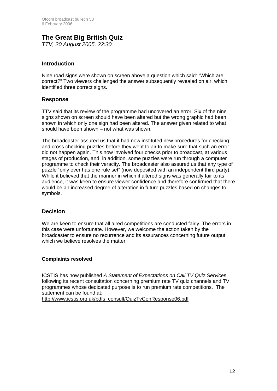# **The Great Big British Quiz**

*TTV, 20 August 2005, 22:30*

#### **Introduction**

Nine road signs were shown on screen above a question which said: "Which are correct?" Two viewers challenged the answer subsequently revealed on air, which identified three correct signs.

#### **Response**

TTV said that its review of the programme had uncovered an error. Six of the nine signs shown on screen should have been altered but the wrong graphic had been shown in which only one sign had been altered. The answer given related to what should have been shown – not what was shown.

The broadcaster assured us that it had now instituted new procedures for checking and cross checking puzzles before they went to air to make sure that such an error did not happen again. This now involved four checks prior to broadcast, at various stages of production, and, in addition, some puzzles were run through a computer programme to check their veracity. The broadcaster also assured us that any type of puzzle "only ever has one rule set" (now deposited with an independent third party). While it believed that the manner in which it altered signs was generally fair to its audience, it was keen to ensure viewer confidence and therefore confirmed that there would be an increased degree of alteration in future puzzles based on changes to symbols.

#### **Decision**

We are keen to ensure that all aired competitions are conducted fairly. The errors in this case were unfortunate. However, we welcome the action taken by the broadcaster to ensure no recurrence and its assurances concerning future output, which we believe resolves the matter.

#### **Complaints resolved**

ICSTIS has now published *A Statement of Expectations on Call TV Quiz Service*s, following its recent consultation concerning premium rate TV quiz channels and TV programmes whose dedicated purpose is to run premium rate competitions. The statement can be found at:

http://www.icstis.org.uk/pdfs\_consult/QuizTvConResponse06.pdf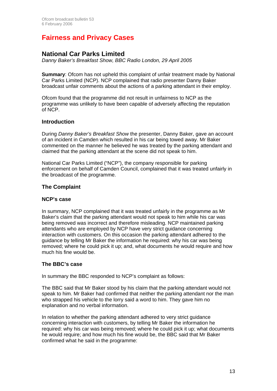# **Fairness and Privacy Cases**

### **National Car Parks Limited**

*Danny Baker's Breakfast Show, BBC Radio London, 29 April 2005* 

**Summary:** Ofcom has not upheld this complaint of unfair treatment made by National Car Parks Limited (NCP). NCP complained that radio presenter Danny Baker broadcast unfair comments about the actions of a parking attendant in their employ.

Ofcom found that the programme did not result in unfairness to NCP as the programme was unlikely to have been capable of adversely affecting the reputation of NCP.

#### **Introduction**

During *Danny Baker's Breakfast Show* the presenter, Danny Baker, gave an account of an incident in Camden which resulted in his car being towed away. Mr Baker commented on the manner he believed he was treated by the parking attendant and claimed that the parking attendant at the scene did not speak to him.

National Car Parks Limited ("NCP"), the company responsible for parking enforcement on behalf of Camden Council, complained that it was treated unfairly in the broadcast of the programme.

#### **The Complaint**

#### **NCP's case**

In summary, NCP complained that it was treated unfairly in the programme as Mr Baker's claim that the parking attendant would not speak to him while his car was being removed was incorrect and therefore misleading. NCP maintained parking attendants who are employed by NCP have very strict guidance concerning interaction with customers. On this occasion the parking attendant adhered to the guidance by telling Mr Baker the information he required: why his car was being removed; where he could pick it up; and, what documents he would require and how much his fine would be.

#### **The BBC's case**

In summary the BBC responded to NCP's complaint as follows:

The BBC said that Mr Baker stood by his claim that the parking attendant would not speak to him. Mr Baker had confirmed that neither the parking attendant nor the man who strapped his vehicle to the lorry said a word to him. They gave him no explanation and no verbal information.

In relation to whether the parking attendant adhered to very strict guidance concerning interaction with customers, by telling Mr Baker the information he required: why his car was being removed; where he could pick it up; what documents he would require; and how much his fine would be, the BBC said that Mr Baker confirmed what he said in the programme: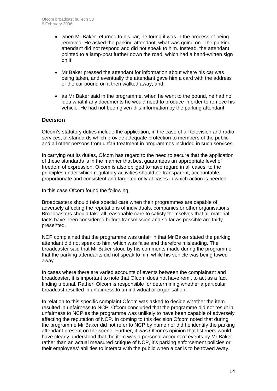- when Mr Baker returned to his car, he found it was in the process of being removed. He asked the parking attendant, what was going on. The parking attendant did not respond and did not speak to him. Instead, the attendant pointed to a lamp-post further down the road, which had a hand-written sign on it;
- Mr Baker pressed the attendant for information about where his car was being taken, and eventually the attendant gave him a card with the address of the car pound on it then walked away; and,
- as Mr Baker said in the programme, when he went to the pound, he had no idea what if any documents he would need to produce in order to remove his vehicle. He had not been given this information by the parking attendant.

#### **Decision**

Ofcom's statutory duties include the application, in the case of all television and radio services, of standards which provide adequate protection to members of the public and all other persons from unfair treatment in programmes included in such services.

In carrying out its duties, Ofcom has regard to the need to secure that the application of these standards is in the manner that best guarantees an appropriate level of freedom of expression. Ofcom is also obliged to have regard in all cases, to the principles under which regulatory activities should be transparent, accountable, proportionate and consistent and targeted only at cases in which action is needed.

In this case Ofcom found the following:

Broadcasters should take special care when their programmes are capable of adversely affecting the reputations of individuals, companies or other organisations. Broadcasters should take all reasonable care to satisfy themselves that all material facts have been considered before transmission and so far as possible are fairly presented.

NCP complained that the programme was unfair in that Mr Baker stated the parking attendant did not speak to him, which was false and therefore misleading. The broadcaster said that Mr Baker stood by his comments made during the programme that the parking attendants did not speak to him while his vehicle was being towed away.

In cases where there are varied accounts of events between the complainant and broadcaster, it is important to note that Ofcom does not have remit to act as a fact finding tribunal. Rather, Ofcom is responsible for determining whether a particular broadcast resulted in unfairness to an individual or organisation.

In relation to this specific complaint Ofcom was asked to decide whether the item resulted in unfairness to NCP. Ofcom concluded that the programme did not result in unfairness to NCP as the programme was unlikely to have been capable of adversely affecting the reputation of NCP. In coming to this decision Ofcom noted that during the programme Mr Baker did not refer to NCP by name nor did he identify the parking attendant present on the scene. Further, it was Ofcom's opinion that listeners would have clearly understood that the item was a personal account of events by Mr Baker, rather than an actual measured critique of NCP, it's parking enforcement policies or their employees' abilities to interact with the public when a car is to be towed away.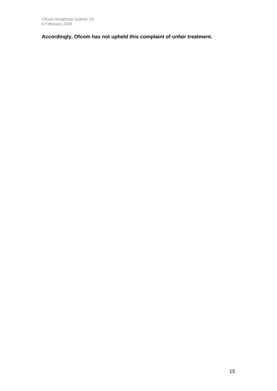**Accordingly, Ofcom has not upheld this complaint of unfair treatment.**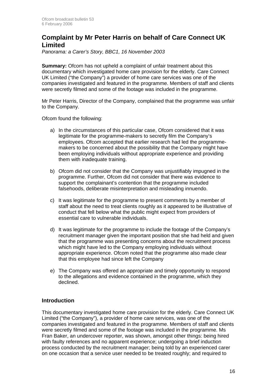### **Complaint by Mr Peter Harris on behalf of Care Connect UK Limited**

*Panorama: a Carer's Story, BBC1, 16 November 2003* 

**Summary:** Ofcom has not upheld a complaint of unfair treatment about this documentary which investigated home care provision for the elderly. Care Connect UK Limited ("the Company") a provider of home care services was one of the companies investigated and featured in the programme. Members of staff and clients were secretly filmed and some of the footage was included in the programme.

Mr Peter Harris, Director of the Company, complained that the programme was unfair to the Company.

Ofcom found the following:

- a) In the circumstances of this particular case, Ofcom considered that it was legitimate for the programme-makers to secretly film the Company's employees. Ofcom accepted that earlier research had led the programmemakers to be concerned about the possibility that the Company might have been employing individuals without appropriate experience and providing them with inadequate training.
- b) Ofcom did not consider that the Company was unjustifiably impugned in the programme. Further, Ofcom did not consider that there was evidence to support the complainant's contention that the programme included falsehoods, deliberate misinterpretation and misleading innuendo.
- c) It was legitimate for the programme to present comments by a member of staff about the need to treat clients roughly as it appeared to be illustrative of conduct that fell below what the public might expect from providers of essential care to vulnerable individuals.
- d) It was legitimate for the programme to include the footage of the Company's recruitment manager given the important position that she had held and given that the programme was presenting concerns about the recruitment process which might have led to the Company employing individuals without appropriate experience. Ofcom noted that the programme also made clear that this employee had since left the Company
- e) The Company was offered an appropriate and timely opportunity to respond to the allegations and evidence contained in the programme, which they declined.

#### **Introduction**

This documentary investigated home care provision for the elderly. Care Connect UK Limited ("the Company"), a provider of home care services, was one of the companies investigated and featured in the programme. Members of staff and clients were secretly filmed and some of the footage was included in the programme. Ms Fran Baker, an undercover reporter, was shown, amongst other things: being hired with faulty references and no apparent experience; undergoing a brief induction process conducted by the recruitment manager; being told by an experienced carer on one occasion that a service user needed to be treated roughly; and required to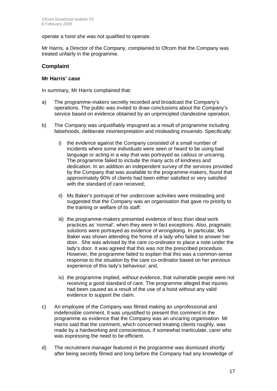operate a hoist she was not qualified to operate.

Mr Harris, a Director of the Company, complained to Ofcom that the Company was treated unfairly in the programme.

#### **Complaint**

#### **Mr Harris' case**

In summary, Mr Harris complained that:

- a) The programme-makers secretly recorded and broadcast the Company's operations. The public was invited to draw conclusions about the Company's service based on evidence obtained by an unprincipled clandestine operation.
- b) The Company was unjustifiably impugned as a result of programme including falsehoods, deliberate misinterpretation and misleading innuendo. Specifically:
	- i) the evidence against the Company consisted of a small number of incidents where some individuals were seen or heard to be using bad language or acting in a way that was portrayed as callous or uncaring. The programme failed to include the many acts of kindness and dedication. In an addition an independent survey of the services provided by the Company that was available to the programme-makers, found that approximately 90% of clients had been either satisfied or very satisfied with the standard of care received:
	- ii) Ms Baker's portrayal of her undercover activities were misleading and suggested that the Company was an organisation that gave no priority to the training or welfare of its staff;
	- iii) the programme-makers presented evidence of less than ideal work practices as 'normal', when they were in fact exceptions. Also, pragmatic solutions were portrayed as evidence of wrongdoing. In particular, Ms Baker was shown attending the home of a lady who failed to answer her door. She was advised by the care co-ordinator to place a note under the lady's door. It was agreed that this was not the prescribed procedure. However, the programme failed to explain that this was a common-sense response to the situation by the care co-ordinator based on her previous experience of this lady's behaviour; and,
	- iv) the programme implied, without evidence, that vulnerable people were not receiving a good standard of care. The programme alleged that injuries had been caused as a result of the use of a hoist without any valid evidence to support the claim.
- c) An employee of the Company was filmed making an unprofessional and indefensible comment. It was unjustified to present this comment in the programme as evidence that the Company was an uncaring organisation. Mr Harris said that the comment, which concerned treating clients roughly, was made by a hardworking and conscientious, if somewhat inarticulate, carer who was expressing the need to be efficient.
- d) The recruitment manager featured in the programme was dismissed shortly after being secretly filmed and long before the Company had any knowledge of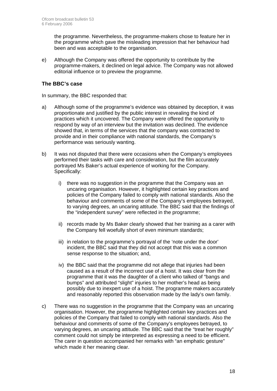the programme. Nevertheless, the programme-makers chose to feature her in the programme which gave the misleading impression that her behaviour had been and was acceptable to the organisation.

e) Although the Company was offered the opportunity to contribute by the programme-makers, it declined on legal advice. The Company was not allowed editorial influence or to preview the programme.

#### **The BBC's case**

In summary, the BBC responded that:

- a) Although some of the programme's evidence was obtained by deception, it was proportionate and justified by the public interest in revealing the kind of practices which it uncovered. The Company were offered the opportunity to respond by way of an interview but the invitation was declined. The evidence showed that, in terms of the services that the company was contracted to provide and in their compliance with national standards, the Company's performance was seriously wanting.
- b) It was not disputed that there were occasions when the Company's employees performed their tasks with care and consideration, but the film accurately portrayed Ms Baker's actual experience of working for the Company. Specifically:
	- i) there was no suggestion in the programme that the Company was an uncaring organisation. However, it highlighted certain key practices and policies of the Company failed to comply with national standards. Also the behaviour and comments of some of the Company's employees betrayed, to varying degrees, an uncaring attitude. The BBC said that the findings of the "independent survey" were reflected in the programme;
	- ii) records made by Ms Baker clearly showed that her training as a carer with the Company fell woefully short of even minimum standards;
	- iii) in relation to the programme's portrayal of the 'note under the door' incident, the BBC said that they did not accept that this was a common sense response to the situation; and,
	- iv) the BBC said that the programme did not allege that injuries had been caused as a result of the incorrect use of a hoist. It was clear from the programme that it was the daughter of a client who talked of "bangs and bumps" and attributed "slight" injuries to her mother's head as being possibly due to inexpert use of a hoist. The programme makers accurately and reasonably reported this observation made by the lady's own family.
- c) There was no suggestion in the programme that the Company was an uncaring organisation. However, the programme highlighted certain key practices and policies of the Company that failed to comply with national standards. Also the behaviour and comments of some of the Company's employees betrayed, to varying degrees, an uncaring attitude. The BBC said that the "treat her roughly" comment could not simply be interpreted as expressing a need to be efficient. The carer in question accompanied her remarks with "an emphatic gesture" which made it her meaning clear.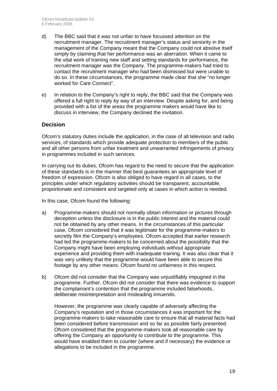- d) The BBC said that it was not unfair to have focussed attention on the recruitment manager. The recruitment manager's status and seniority in the management of the Company meant that the Company could not absolve itself simply by claiming that her performance was an aberration. When it came to the vital work of training new staff and setting standards for performance, the recruitment manager was the Company. The programme-makers had tried to contact the recruitment manager who had been dismissed but were unable to do so. In these circumstances, the programme made clear that she "no longer worked for Care Connect".
- e) In relation to the Company's right to reply, the BBC said that the Company was offered a full right to reply by way of an interview. Despite asking for, and being provided with a list of the areas the programme makers would have like to discuss in interview, the Company declined the invitation.

#### **Decision**

Ofcom's statutory duties include the application, in the case of all television and radio services, of standards which provide adequate protection to members of the public and all other persons from unfair treatment and unwarranted infringements of privacy in programmes included in such services.

In carrying out its duties, Ofcom has regard to the need to secure that the application of these standards is in the manner that best guarantees an appropriate level of freedom of expression. Ofcom is also obliged to have regard in all cases, to the principles under which regulatory activities should be transparent, accountable, proportionate and consistent and targeted only at cases in which action is needed.

In this case, Ofcom found the following:

- a) Programme-makers should not normally obtain information or pictures through deception unless the disclosure is in the public interest and the material could not be obtained by any other means. In the circumstances of this particular case, Ofcom considered that it was legitimate for the programme-makers to secretly film the Company's employees. Ofcom accepted that earlier research had led the programme-makers to be concerned about the possibility that the Company might have been employing individuals without appropriate experience and providing them with inadequate training. It was also clear that it was very unlikely that the programme would have been able to secure this footage by any other means. Ofcom found no unfairness in this respect.
- b) Ofcom did not consider that the Company was unjustifiably impugned in the programme. Further, Ofcom did not consider that there was evidence to support the complainant's contention that the programme included falsehoods, deliberate misinterpretation and misleading innuendo.

However, the programme was clearly capable of adversely affecting the Company's reputation and in those circumstances it was important for the programme-makers to take reasonable care to ensure that all material facts had been considered before transmission and so far as possible fairly presented. Ofcom considered that the programme-makers took all reasonable care by offering the Company an opportunity to contribute to the programme. This would have enabled them to counter (where and if necessary) the evidence or allegations to be included in the programme.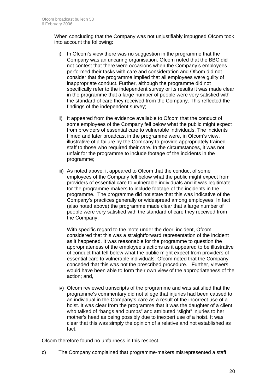When concluding that the Company was not unjustifiably impugned Ofcom took into account the following:

- i) In Ofcom's view there was no suggestion in the programme that the Company was an uncaring organisation. Ofcom noted that the BBC did not contest that there were occasions when the Company's employees performed their tasks with care and consideration and Ofcom did not consider that the programme implied that all employees were guilty of inappropriate conduct. Further, although the programme did not specifically refer to the independent survey or its results it was made clear in the programme that a large number of people were very satisfied with the standard of care they received from the Company. This reflected the findings of the independent survey;
- ii) It appeared from the evidence available to Ofcom that the conduct of some employees of the Company fell below what the public might expect from providers of essential care to vulnerable individuals. The incidents filmed and later broadcast in the programme were, in Ofcom's view, illustrative of a failure by the Company to provide appropriately trained staff to those who required their care. In the circumstances, it was not unfair for the programme to include footage of the incidents in the programme;
- iii) As noted above, it appeared to Ofcom that the conduct of some employees of the Company fell below what the public might expect from providers of essential care to vulnerable individuals and it was legitimate for the programme-makers to include footage of the incidents in the programme. The programme did not state that this was indicative of the Company's practices generally or widespread among employees. In fact (also noted above) the programme made clear that a large number of people were very satisfied with the standard of care they received from the Company;

 With specific regard to the 'note under the door' incident, Ofcom considered that this was a straightforward representation of the incident as it happened. It was reasonable for the programme to question the appropriateness of the employee's actions as it appeared to be illustrative of conduct that fell below what the public might expect from providers of essential care to vulnerable individuals. Ofcom noted that the Company conceded that this was not the prescribed procedure. Further, viewers would have been able to form their own view of the appropriateness of the action; and,

iv) Ofcom reviewed transcripts of the programme and was satisfied that the programme's commentary did not allege that injuries had been caused to an individual in the Company's care as a result of the incorrect use of a hoist. It was clear from the programme that it was the daughter of a client who talked of "bangs and bumps" and attributed "slight" injuries to her mother's head as being possibly due to inexpert use of a hoist. It was clear that this was simply the opinion of a relative and not established as fact.

Ofcom therefore found no unfairness in this respect.

c) The Company complained that programme-makers misrepresented a staff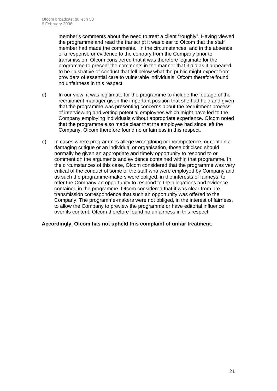member's comments about the need to treat a client "roughly". Having viewed the programme and read the transcript it was clear to Ofcom that the staff member had made the comments. In the circumstances, and in the absence of a response or evidence to the contrary from the Company prior to transmission, Ofcom considered that it was therefore legitimate for the programme to present the comments in the manner that it did as it appeared to be illustrative of conduct that fell below what the public might expect from providers of essential care to vulnerable individuals. Ofcom therefore found no unfairness in this respect.

- d) In our view, it was legitimate for the programme to include the footage of the recruitment manager given the important position that she had held and given that the programme was presenting concerns about the recruitment process of interviewing and vetting potential employees which might have led to the Company employing individuals without appropriate experience. Ofcom noted that the programme also made clear that the employee had since left the Company. Ofcom therefore found no unfairness in this respect.
- e) In cases where programmes allege wrongdoing or incompetence, or contain a damaging critique or an individual or organisation, those criticised should normally be given an appropriate and timely opportunity to respond to or comment on the arguments and evidence contained within that programme. In the circumstances of this case, Ofcom considered that the programme was very critical of the conduct of some of the staff who were employed by Company and as such the programme-makers were obliged, in the interests of fairness, to offer the Company an opportunity to respond to the allegations and evidence contained in the programme. Ofcom considered that it was clear from pretransmission correspondence that such an opportunity was offered to the Company. The programme-makers were not obliged, in the interest of fairness, to allow the Company to preview the programme or have editorial influence over its content. Ofcom therefore found no unfairness in this respect.

#### **Accordingly, Ofcom has not upheld this complaint of unfair treatment.**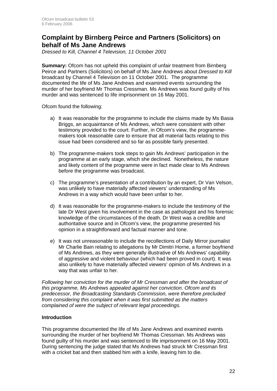### **Complaint by Birnberg Peirce and Partners (Solicitors) on behalf of Ms Jane Andrews**

*Dressed to Kill, Channel 4 Television, 11 October 2001* 

**Summary:** Ofcom has not upheld this complaint of unfair treatment from Birnberg Peirce and Partners (Solicitors) on behalf of Ms Jane Andrews about *Dressed to Kill* broadcast by Channel 4 Television on 11 October 2001. The programme documented the life of Ms Jane Andrews and examined events surrounding the murder of her boyfriend Mr Thomas Cressman. Ms Andrews was found guilty of his murder and was sentenced to life imprisonment on 16 May 2001.

Ofcom found the following:

- a) It was reasonable for the programme to include the claims made by Ms Basia Briggs, an acquaintance of Ms Andrews, which were consistent with other testimony provided to the court. Further, in Ofcom's view, the programmemakers took reasonable care to ensure that all material facts relating to this issue had been considered and so far as possible fairly presented.
- b) The programme-makers took steps to gain Ms Andrews' participation in the programme at an early stage, which she declined. Nonetheless, the nature and likely content of the programme were in fact made clear to Ms Andrews before the programme was broadcast.
- c) The programme's presentation of a contribution by an expert, Dr Van Velson, was unlikely to have materially affected viewers' understanding of Ms Andrews in a way which would have been unfair to her.
- d) It was reasonable for the programme-makers to include the testimony of the late Dr West given his involvement in the case as pathologist and his forensic knowledge of the circumstances of the death. Dr West was a credible and authoritative source and in Ofcom's view, the programme presented his opinion in a straightforward and factual manner and tone.
- e) It was not unreasonable to include the recollections of Daily Mirror journalist Mr Charlie Bain relating to allegations by Mr Dimitri Horne, a former boyfriend of Ms Andrews, as they were generally illustrative of Ms Andrews' capability of aggressive and violent behaviour (which had been proved in court). It was also unlikely to have materially affected viewers' opinion of Ms Andrews in a way that was unfair to her.

*Following her conviction for the murder of Mr Cressman and after the broadcast of this programme, Ms Andrews appealed against her conviction. Ofcom and its predecessor, the Broadcasting Standards Commission, were therefore precluded from considering this complaint when it was first submitted as the matters complained of were the subject of relevant legal proceedings.* 

#### **Introduction**

This programme documented the life of Ms Jane Andrews and examined events surrounding the murder of her boyfriend Mr Thomas Cressman. Ms Andrews was found guilty of his murder and was sentenced to life imprisonment on 16 May 2001. During sentencing the judge stated that Ms Andrews had struck Mr Cressman first with a cricket bat and then stabbed him with a knife, leaving him to die.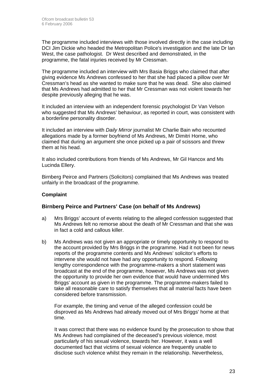The programme included interviews with those involved directly in the case including DCI Jim Dickie who headed the Metropolitan Police's investigation and the late Dr lan West, the case pathologist. Dr West described and demonstrated, in the programme, the fatal injuries received by Mr Cressman.

The programme included an interview with Mrs Basia Briggs who claimed that after giving evidence Ms Andrews confessed to her that she had placed a pillow over Mr Cressman's head as she wanted to make sure that he was dead. She also claimed that Ms Andrews had admitted to her that Mr Cressman was not violent towards her despite previously alleging that he was.

It included an interview with an independent forensic psychologist Dr Van Velson who suggested that Ms Andrews' behaviour, as reported in court, was consistent with a borderline personality disorder.

It included an interview with *Daily Mirror* journalist Mr Charlie Bain who recounted allegations made by a former boyfriend of Ms Andrews, Mr Dimitri Horne, who claimed that during an argument she once picked up a pair of scissors and threw them at his head.

It also included contributions from friends of Ms Andrews, Mr Gil Hancox and Ms Lucinda Ellery.

Birnberg Peirce and Partners (Solicitors) complained that Ms Andrews was treated unfairly in the broadcast of the programme.

#### **Complaint**

#### **Birnberg Peirce and Partners' Case (on behalf of Ms Andrews)**

- a) Mrs Briggs' account of events relating to the alleged confession suggested that Ms Andrews felt no remorse about the death of Mr Cressman and that she was in fact a cold and callous killer.
- b) Ms Andrews was not given an appropriate or timely opportunity to respond to the account provided by Mrs Briggs in the programme. Had it not been for news reports of the programme contents and Ms Andrews' solicitor's efforts to intervene she would not have had any opportunity to respond. Following lengthy correspondence with the programme-makers a short statement was broadcast at the end of the programme, however, Ms Andrews was not given the opportunity to provide her own evidence that would have undermined Mrs Briggs' account as given in the programme. The programme-makers failed to take all reasonable care to satisfy themselves that all material facts have been considered before transmission.

For example, the timing and venue of the alleged confession could be disproved as Ms Andrews had already moved out of Mrs Briggs' home at that time.

It was correct that there was no evidence found by the prosecution to show that Ms Andrews had complained of the deceased's previous violence, most particularly of his sexual violence, towards her. However, it was a well documented fact that victims of sexual violence are frequently unable to disclose such violence whilst they remain in the relationship. Nevertheless,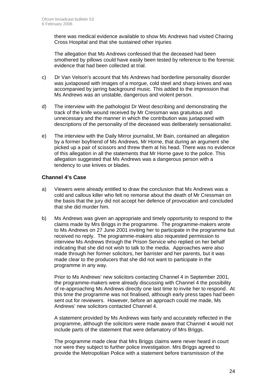there was medical evidence available to show Ms Andrews had visited Charing Cross Hospital and that she sustained other injuries

The allegation that Ms Andrews confessed that the deceased had been smothered by pillows could have easily been tested by reference to the forensic evidence that had been collected at trial.

- c) Dr Van Velson's account that Ms Andrews had borderline personality disorder was juxtaposed with images of a morgue, cold steel and sharp knives and was accompanied by jarring background music. This added to the impression that Ms Andrews was an unstable, dangerous and violent person.
- d) The interview with the pathologist Dr West describing and demonstrating the track of the knife wound received by Mr Cressman was gratuitous and unnecessary and the manner in which the contribution was juxtaposed with descriptions of the personality of the deceased was deliberately sensationalist.
- e) The interview with the Daily Mirror journalist, Mr Bain, contained an allegation by a former boyfriend of Ms Andrews, Mr Horne, that during an argument she picked up a pair of scissors and threw them at his head. There was no evidence of this allegation in all the statements that Mr Horne gave to the police. This allegation suggested that Ms Andrews was a dangerous person with a tendency to use knives or blades.

#### **Channel 4's Case**

- a) Viewers were already entitled to draw the conclusion that Ms Andrews was a cold and callous killer who felt no remorse about the death of Mr Cressman on the basis that the jury did not accept her defence of provocation and concluded that she did murder him.
- b) Ms Andrews was given an appropriate and timely opportunity to respond to the claims made by Mrs Briggs in the programme. The programme-makers wrote to Ms Andrews on 27 June 2001 inviting her to participate in the programme but received no reply. The programme-makers also requested permission to interview Ms Andrews through the Prison Service who replied on her behalf indicating that she did not wish to talk to the media. Approaches were also made through her former solicitors, her barrister and her parents, but it was made clear to the producers that she did not want to participate in the programme in any way.

Prior to Ms Andrews' new solicitors contacting Channel 4 in September 2001, the programme-makers were already discussing with Channel 4 the possibility of re-approaching Ms Andrews directly one last time to invite her to respond. At this time the programme was not finalised, although early press tapes had been sent out for reviewers. However, before an approach could me made, Ms Andrews' new solicitors contacted Channel 4.

A statement provided by Ms Andrews was fairly and accurately reflected in the programme, although the solicitors were made aware that Channel 4 would not include parts of the statement that were defamatory of Mrs Briggs.

The programme made clear that Mrs Briggs claims were never heard in court nor were they subject to further police investigation. Mrs Briggs agreed to provide the Metropolitan Police with a statement before transmission of the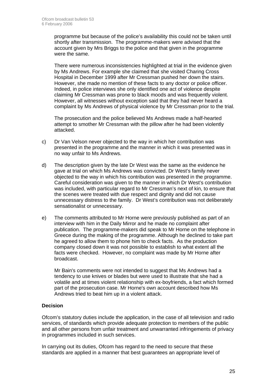programme but because of the police's availability this could not be taken until shortly after transmission. The programme-makers were advised that the account given by Mrs Briggs to the police and that given in the programme were the same.

There were numerous inconsistencies highlighted at trial in the evidence given by Ms Andrews. For example she claimed that she visited Charing Cross Hospital in December 1999 after Mr Cressman pushed her down the stairs. However, she made no mention of these facts to any doctor or police officer. Indeed, in police interviews she only identified one act of violence despite claiming Mr Cressman was prone to black moods and was frequently violent. However, all witnesses without exception said that they had never heard a complaint by Ms Andrews of physical violence by Mr Cressman prior to the trial.

The prosecution and the police believed Ms Andrews made a half-hearted attempt to smother Mr Cressman with the pillow after he had been violently attacked.

- c) Dr Van Velson never objected to the way in which her contribution was presented in the programme and the manner in which it was presented was in no way unfair to Ms Andrews.
- d) The description given by the late Dr West was the same as the evidence he gave at trial on which Ms Andrews was convicted. Dr West's family never objected to the way in which his contribution was presented in the programme. Careful consideration was given to the manner in which Dr West's contribution was included, with particular regard to Mr Cressman's next of kin, to ensure that the scenes were treated with due respect and dignity and did not cause unnecessary distress to the family. Dr West's contribution was not deliberately sensationalist or unnecessary.
- e) The comments attributed to Mr Horne were previously published as part of an interview with him in the Daily Mirror and he made no complaint after publication. The programme-makers did speak to Mr Horne on the telephone in Greece during the making of the programme. Although he declined to take part he agreed to allow them to phone him to check facts. As the production company closed down it was not possible to establish to what extent all the facts were checked. However, no complaint was made by Mr Horne after broadcast.

Mr Bain's comments were not intended to suggest that Ms Andrews had a tendency to use knives or blades but were used to illustrate that she had a volatile and at times violent relationship with ex-boyfriends, a fact which formed part of the prosecution case. Mr Horne's own account described how Ms Andrews tried to beat him up in a violent attack.

#### **Decision**

Ofcom's statutory duties include the application, in the case of all television and radio services, of standards which provide adequate protection to members of the public and all other persons from unfair treatment and unwarranted infringements of privacy in programmes included in such services.

In carrying out its duties, Ofcom has regard to the need to secure that these standards are applied in a manner that best guarantees an appropriate level of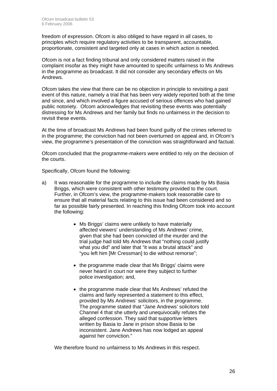freedom of expression. Ofcom is also obliged to have regard in all cases, to principles which require regulatory activities to be transparent, accountable, proportionate, consistent and targeted only at cases in which action is needed.

Ofcom is not a fact finding tribunal and only considered matters raised in the complaint insofar as they might have amounted to specific unfairness to Ms Andrews in the programme as broadcast. It did not consider any secondary effects on Ms Andrews.

Ofcom takes the view that there can be no objection in principle to revisiting a past event of this nature, namely a trial that has been very widely reported both at the time and since, and which involved a figure accused of serious offences who had gained public notoriety. Ofcom acknowledges that revisiting these events was potentially distressing for Ms Andrews and her family but finds no unfairness in the decision to revisit these events.

At the time of broadcast Ms Andrews had been found guilty of the crimes referred to in the programme; the conviction had not been overturned on appeal and, in Ofcom's view, the programme's presentation of the conviction was straightforward and factual.

Ofcom concluded that the programme-makers were entitled to rely on the decision of the courts.

Specifically, Ofcom found the following:

- a) It was reasonable for the programme to include the claims made by Ms Basia Briggs, which were consistent with other testimony provided to the court. Further, in Ofcom's view, the programme-makers took reasonable care to ensure that all material facts relating to this issue had been considered and so far as possible fairly presented. In reaching this finding Ofcom took into account the following:
	- Ms Briggs' claims were unlikely to have materially affected viewers' understanding of Ms Andrews' crime, given that she had been convicted of the murder and the trial judge had told Ms Andrews that "nothing could justify what you did" and later that "it was a brutal attack" and "you left him [Mr Cressman] to die without remorse";
	- the programme made clear that Ms Briggs' claims were never heard in court nor were they subject to further police investigation; and,
	- the programme made clear that Ms Andrews' refuted the claims and fairly represented a statement to this effect, provided by Ms Andrews' solicitors, in the programme. The programme stated that "Jane Andrews' solicitors told Channel 4 that she utterly and unequivocally refutes the alleged confession. They said that supportive letters written by Basia to Jane in prison show Basia to be inconsistent. Jane Andrews has now lodged an appeal against her conviction."

We therefore found no unfairness to Ms Andrews in this respect.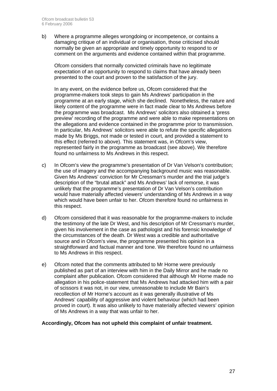b) Where a programme alleges wrongdoing or incompetence, or contains a damaging critique of an individual or organisation, those criticised should normally be given an appropriate and timely opportunity to respond to or comment on the arguments and evidence contained within that programme.

Ofcom considers that normally convicted criminals have no legitimate expectation of an opportunity to respond to claims that have already been presented to the court and proven to the satisfaction of the jury.

In any event, on the evidence before us, Ofcom considered that the programme-makers took steps to gain Ms Andrews' participation in the programme at an early stage, which she declined. Nonetheless, the nature and likely content of the programme were in fact made clear to Ms Andrews before the programme was broadcast. Ms Andrews' solicitors also obtained a 'press preview' recording of the programme and were able to make representations on the allegations and evidence contained in the programme prior to transmission. In particular, Ms Andrews' solicitors were able to refute the specific allegations made by Ms Briggs, not made or tested in court, and provided a statement to this effect (referred to above). This statement was, in Ofcom's view, represented fairly in the programme as broadcast (see above). We therefore found no unfairness to Ms Andrews in this respect.

- c) In Ofcom's view the programme's presentation of Dr Van Velson's contribution; the use of imagery and the accompanying background music was reasonable. Given Ms Andrews' conviction for Mr Cressman's murder and the trial judge's description of the "brutal attack" and Ms Andrews' lack of remorse, it was unlikely that the programme's presentation of Dr Van Velson's contribution would have materially affected viewers' understanding of Ms Andrews in a way which would have been unfair to her. Ofcom therefore found no unfairness in this respect.
- d) Ofcom considered that it was reasonable for the programme-makers to include the testimony of the late Dr West, and his description of Mr Cressman's murder, given his involvement in the case as pathologist and his forensic knowledge of the circumstances of the death. Dr West was a credible and authoritative source and in Ofcom's view, the programme presented his opinion in a straightforward and factual manner and tone. We therefore found no unfairness to Ms Andrews in this respect.
- e) Ofcom noted that the comments attributed to Mr Horne were previously published as part of an interview with him in the Daily Mirror and he made no complaint after publication. Ofcom considered that although Mr Horne made no allegation in his police-statement that Ms Andrews had attacked him with a pair of scissors it was not, in our view, unreasonable to include Mr Bain's recollection of Mr Horne's account as it was generally illustrative of Ms Andrews' capability of aggressive and violent behaviour (which had been proved in court). It was also unlikely to have materially affected viewers' opinion of Ms Andrews in a way that was unfair to her.

#### **Accordingly, Ofcom has not upheld this complaint of unfair treatment.**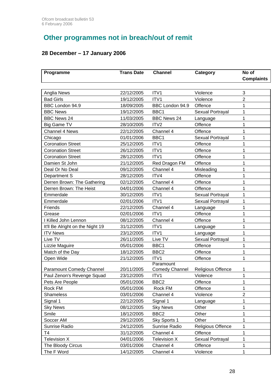# **Other programmes not in breach/out of remit**

### **28 December – 17 January 2006**

| Programme                        | <b>Trans Date</b> | <b>Channel</b>              | Category                 | No of<br><b>Complaints</b> |
|----------------------------------|-------------------|-----------------------------|--------------------------|----------------------------|
|                                  |                   |                             |                          |                            |
| Anglia News                      | 22/12/2005        | ITV1                        | Violence                 | 3                          |
| <b>Bad Girls</b>                 | 19/12/2005        | ITV <sub>1</sub>            | Violence                 | $\overline{2}$             |
| BBC London 94.9                  | 18/09/2005        | BBC London 94.9             | Offence                  | 1                          |
| <b>BBC News</b>                  | 19/12/2005        | BBC1                        | Sexual Portrayal         | 1                          |
| <b>BBC News 24</b>               | 11/03/2005        | <b>BBC News 24</b>          | Language                 | 1                          |
| Big Game TV                      | 28/10/2005        | ITV <sub>2</sub>            | Offence                  | 1                          |
| Channel 4 News                   | 22/12/2005        | Channel 4                   | Offence                  | 1                          |
| Chicago                          | 01/01/2006        | BBC1                        | Sexual Portrayal         | 1                          |
| <b>Coronation Street</b>         | 25/12/2005        | ITV1                        | Offence                  | 1                          |
| <b>Coronation Street</b>         | 26/12/2005        | ITV1                        | Offence                  | 1                          |
| <b>Coronation Street</b>         | 28/12/2005        | ITV1                        | Offence                  | 1                          |
| Damien St John                   | 21/12/2005        | Red Dragon FM               | Offence                  | $\mathbf 1$                |
| Deal Or No Deal                  | 09/12/2005        | Channel 4                   | Misleading               | 1                          |
| Department S                     | 28/12/2005        | ITV4                        | Offence                  | 1                          |
| Derren Brown: The Gathering      | 02/12/2005        | Channel 4                   | Offence                  | 1                          |
| Derren Brown: The Heist          | 04/01/2006        | Channel 4                   | Offence                  | 1                          |
| Emmerdale                        | 30/12/2005        | ITV1                        | Sexual Portrayal         | 1                          |
| Emmerdale                        | 02/01/2006        | ITV1                        | Sexual Portrayal         | 1                          |
| Friends                          | 22/12/2005        | Channel 4                   | Language                 | 1                          |
| Grease                           | 02/01/2006        | ITV1                        | Offence                  | 1                          |
| I Killed John Lennon             | 08/12/2005        | Channel 4                   | Offence                  | 1                          |
| It'll Be Alright on the Night 19 | 31/12/2005        | ITV1                        | Language                 | 1                          |
| <b>ITV News</b>                  | 23/12/2005        | ITV1                        | Language                 | 1                          |
| Live TV                          | 26/11/2005        | Live TV                     | Sexual Portrayal         | 1                          |
| Lizzie Maguire                   | 05/01/2006        | BBC1                        | Offence                  | 1                          |
| Match of the Day                 | 18/12/2005        | BBC <sub>2</sub>            | Offence                  | $\mathbf 1$                |
| Open Wide                        | 21/12/2005        | ITV1                        | Offence                  | 1                          |
| Paramount Comedy Channel         | 20/11/2005        | Paramount<br>Comedy Channel | <b>Religious Offence</b> | 1                          |
| Paul Zenon's Revenge Squad       | 23/12/2005        | ITV1                        | Violence                 | $\mathbf 1$                |
| Pets Are People                  | 05/01/2006        | BBC <sub>2</sub>            | Offence                  | 1                          |
| Rock FM                          | 05/01/2006        | Rock FM                     | Offence                  | $\mathbf 1$                |
| <b>Shameless</b>                 | 03/01/2006        | Channel 4                   | Violence                 | $\overline{2}$             |
| Signal 1                         | 22/12/2005        | Signal 1                    | Language                 | 1                          |
| <b>Sky News</b>                  | 08/12/2005        | <b>Sky News</b>             | Other                    | 1                          |
| Smile                            | 18/12/2005        | BBC <sub>2</sub>            | Other                    | 1                          |
| Soccer AM                        | 29/12/2005        | Sky Sports 1                | Other                    | 1                          |
| Sunrise Radio                    | 24/12/2005        | Sunrise Radio               | Religious Offence        | 1                          |
| T <sub>4</sub>                   | 31/12/2005        | Channel 4                   | Offence                  | 1                          |
| Television X                     | 04/01/2006        | <b>Television X</b>         | Sexual Portrayal         | 1                          |
| The Bloody Circus                | 03/01/2006        | Channel 4                   | Offence                  | 1                          |
| The F Word                       | 14/12/2005        | Channel 4                   | Violence                 | 1                          |